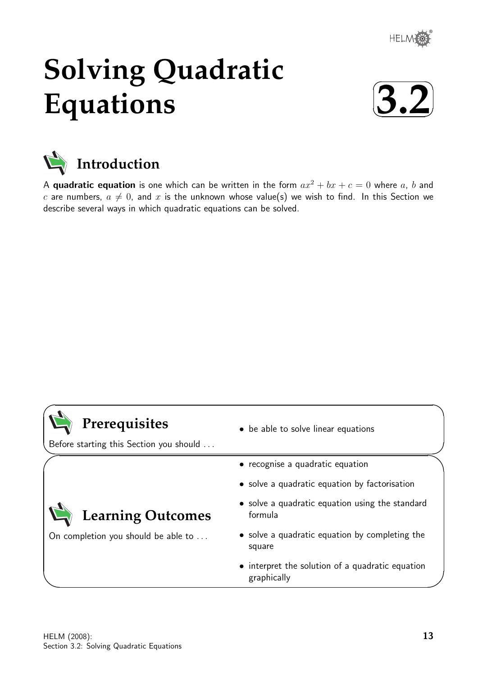

# **Solving Quadratic Equations**





A quadratic equation is one which can be written in the form  $ax^2 + bx + c = 0$  where a, b and c are numbers,  $a \neq 0$ , and x is the unknown whose value(s) we wish to find. In this Section we describe several ways in which quadratic equations can be solved.

## **Prerequisites**

 $\overline{\phantom{0}}$ 

 $\searrow$ 

 $\ge$ 

 $\overline{\phantom{0}}$ 

Before starting this Section you should . . .

On completion you should be able to ...

**Learning Outcomes**

- be able to solve linear equations
- recognise a quadratic equation
- solve a quadratic equation by factorisation
- solve a quadratic equation using the standard formula
- solve a quadratic equation by completing the square
- interpret the solution of a quadratic equation graphically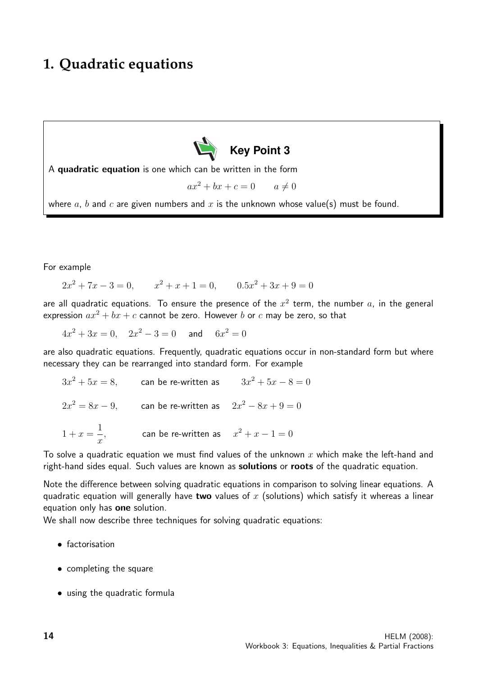## **1. Quadratic equations**



A quadratic equation is one which can be written in the form

$$
ax^2 + bx + c = 0 \qquad a \neq 0
$$

where  $a, b$  and  $c$  are given numbers and  $x$  is the unknown whose value(s) must be found.

For example

 $2x^2 + 7x - 3 = 0,$   $x^2 + x + 1 = 0,$   $0.5x^2 + 3x + 9 = 0$ 

are all quadratic equations. To ensure the presence of the  $x^2$  term, the number  $a$ , in the general expression  $ax^2 + bx + c$  cannot be zero. However b or c may be zero, so that

 $4x^2 + 3x = 0$ ,  $2x^2 - 3 = 0$  and  $6x^2 = 0$ 

are also quadratic equations. Frequently, quadratic equations occur in non-standard form but where necessary they can be rearranged into standard form. For example

 $3x^2+5x=8$ , can be re-written as  $3x^2+5x-8=0$  $2x^2 = 8x - 9$ , can be re-written as  $2x^2 - 8x + 9 = 0$  $1 + x =$ 1  $\boldsymbol{x}$ , can be re-written as  $x^2 + x - 1 = 0$ 

To solve a quadratic equation we must find values of the unknown x which make the left-hand and right-hand sides equal. Such values are known as **solutions** or **roots** of the quadratic equation.

Note the difference between solving quadratic equations in comparison to solving linear equations. A quadratic equation will generally have two values of x (solutions) which satisfy it whereas a linear equation only has one solution.

We shall now describe three techniques for solving quadratic equations:

- factorisation
- completing the square
- using the quadratic formula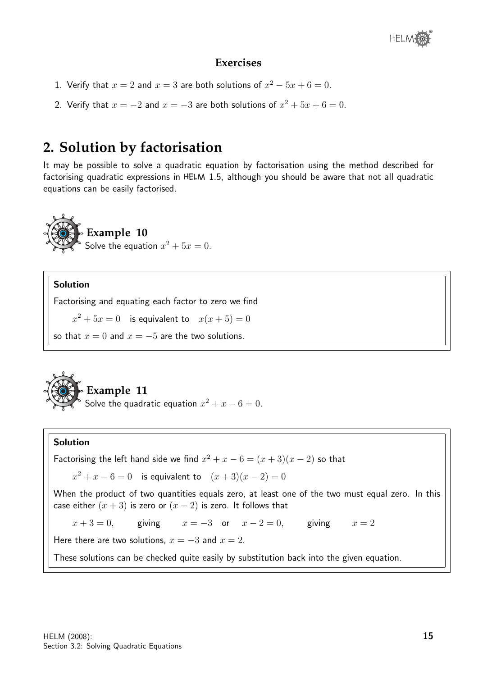

- 1. Verify that  $x = 2$  and  $x = 3$  are both solutions of  $x^2 5x + 6 = 0$ .
- 2. Verify that  $x = -2$  and  $x = -3$  are both solutions of  $x^2 + 5x + 6 = 0$ .

## **2. Solution by factorisation**

It may be possible to solve a quadratic equation by factorisation using the method described for factorising quadratic expressions in HELM 1.5, although you should be aware that not all quadratic equations can be easily factorised.



#### Solution

Factorising and equating each factor to zero we find

 $x^2 + 5x = 0$  is equivalent to  $x(x+5) = 0$ 

so that  $x = 0$  and  $x = -5$  are the two solutions.



**Example 11**

Solve the quadratic equation  $x^2 + x - 6 = 0$ .

#### Solution

Factorising the left hand side we find  $x^2 + x - 6 = (x + 3)(x - 2)$  so that  $x^2 + x - 6 = 0$  is equivalent to  $(x + 3)(x - 2) = 0$ When the product of two quantities equals zero, at least one of the two must equal zero. In this case either  $(x+3)$  is zero or  $(x-2)$  is zero. It follows that  $x + 3 = 0$ , giving  $x = -3$  or  $x - 2 = 0$ , giving  $x = 2$ Here there are two solutions,  $x = -3$  and  $x = 2$ . These solutions can be checked quite easily by substitution back into the given equation.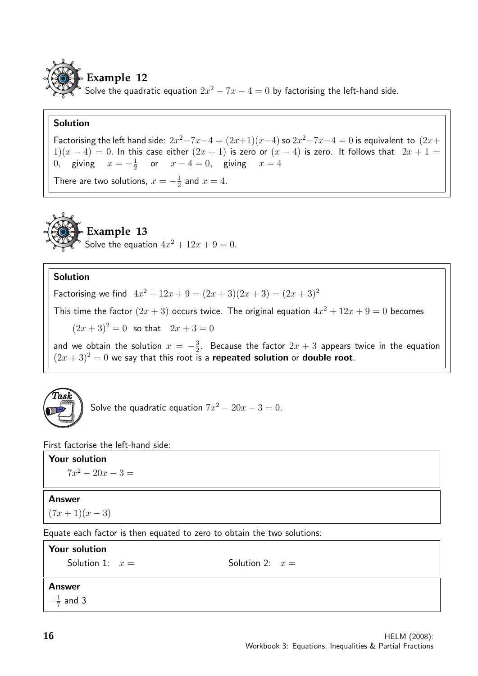

Solve the quadratic equation  $2x^2 - 7x - 4 = 0$  by factorising the left-hand side.

#### Solution

Factorising the left hand side:  $2x^2 - 7x - 4 = (2x+1)(x-4)$  so  $2x^2 - 7x - 4 = 0$  is equivalent to  $(2x+$  $1(x-4) = 0$ . In this case either  $(2x + 1)$  is zero or  $(x - 4)$  is zero. It follows that  $2x + 1 = 1$ 0, giving  $x = -\frac{1}{2}$  $\frac{1}{2}$  or  $x-4=0$ , giving  $x=4$ 

There are two solutions,  $x = -\frac{1}{2}$  $\frac{1}{2}$  and  $x=4$ .



## **Example 13**

Solve the equation  $4x^2 + 12x + 9 = 0$ .

#### Solution

Factorising we find  $4x^2 + 12x + 9 = (2x + 3)(2x + 3) = (2x + 3)^2$ 

This time the factor  $(2x+3)$  occurs twice. The original equation  $4x^2 + 12x + 9 = 0$  becomes

 $(2x+3)^2 = 0$  so that  $2x+3=0$ 

and we obtain the solution  $x = -\frac{3}{2}$  $\frac{3}{2}$ . Because the factor  $2x+3$  appears twice in the equation  $(2x+3)^2=0$  we say that this root is a repeated solution or double root.



Solve the quadratic equation  $7x^2 - 20x - 3 = 0$ .

First factorise the left-hand side:

#### Your solution

 $7x^2 - 20x - 3 =$ 

#### Answer

 $(7x+1)(x-3)$ 

Equate each factor is then equated to zero to obtain the two solutions:

Your solution Solution 1:  $x =$  Solution 2:  $x =$ **Answer**  $-\frac{1}{7}$  $\frac{1}{7}$  and 3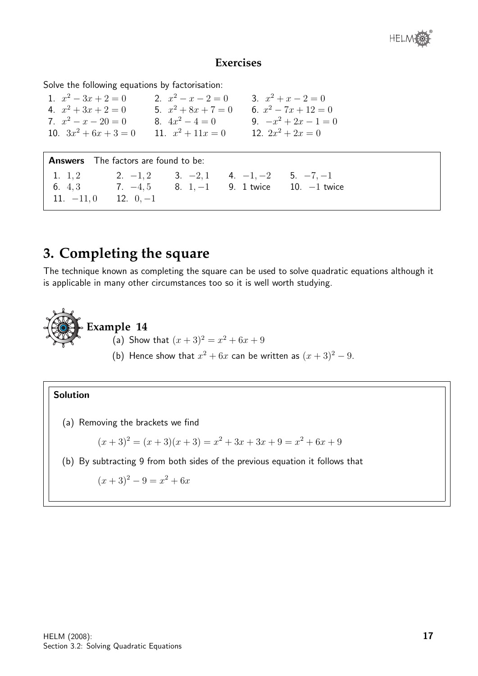

Solve the following equations by factorisation:

1.  $x^2 - 3x + 2 = 0$ <br>2.  $x^2 - x - 2 = 0$ <br>3. x 3.  $x^2 + x - 2 = 0$ 4.  $x^2 + 3x + 2 = 0$  5.  $x^2 + 8x + 7 = 0$  6. x 6.  $x^2 - 7x + 12 = 0$ 7.  $x^2 - x - 20 = 0$  8.  $4x^2 - 4 = 0$  9.  $-x$ 9.  $-x^2 + 2x - 1 = 0$ 10.  $3x^2 + 6x + 3 = 0$  11. x 11.  $x^2 + 11x = 0$ 12.  $2x^2 + 2x = 0$ 

Answers The factors are found to be: 1.  $1, 2$  2.  $-1, 2$  3.  $-2, 1$  4.  $-1, -2$  5.  $-7, -1$ 6. 4, 3 7. −4, 5 8. 1, −1 9. 1 twice 10. −1 twice 11.  $-11, 0$  12.  $0, -1$ 

## **3. Completing the square**

The technique known as completing the square can be used to solve quadratic equations although it is applicable in many other circumstances too so it is well worth studying.



### **Example 14**

- (a) Show that  $(x+3)^2 = x^2 + 6x + 9$
- (b) Hence show that  $x^2 + 6x$  can be written as  $(x+3)^2 9$ .

#### Solution

(a) Removing the brackets we find

 $(x+3)^2 = (x+3)(x+3) = x^2 + 3x + 3x + 9 = x^2 + 6x + 9$ 

(b) By subtracting 9 from both sides of the previous equation it follows that

$$
(x+3)^2 - 9 = x^2 + 6x
$$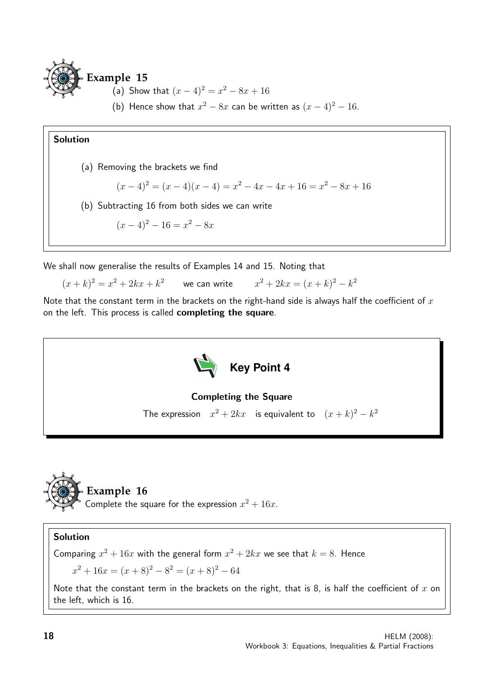

- (a) Show that  $(x-4)^2 = x^2 8x + 16$
- (b) Hence show that  $x^2 8x$  can be written as  $(x 4)^2 16$ .

(a) Removing the brackets we find

$$
(x-4)^2 = (x-4)(x-4) = x^2 - 4x - 4x + 16 = x^2 - 8x + 16
$$

(b) Subtracting 16 from both sides we can write

$$
(x-4)^2 - 16 = x^2 - 8x
$$

We shall now generalise the results of Examples 14 and 15. Noting that

 $(x+k)^2 = x^2 + 2kx + k^2$  we can write  $x^2 + 2kx = (x+k)^2 - k^2$ 

Note that the constant term in the brackets on the right-hand side is always half the coefficient of  $x$ on the left. This process is called completing the square.



#### Completing the Square

The expression  $x^2 + 2kx$  is equivalent to  $(x + k)^2 - k^2$ 



Complete the square for the expression  $x^2 + 16x$ .

#### Solution

Comparing  $x^2 + 16x$  with the general form  $x^2 + 2kx$  we see that  $k = 8$ . Hence

 $x^2 + 16x = (x+8)^2 - 8^2 = (x+8)^2 - 64$ 

Note that the constant term in the brackets on the right, that is 8, is half the coefficient of  $x$  on the left, which is 16.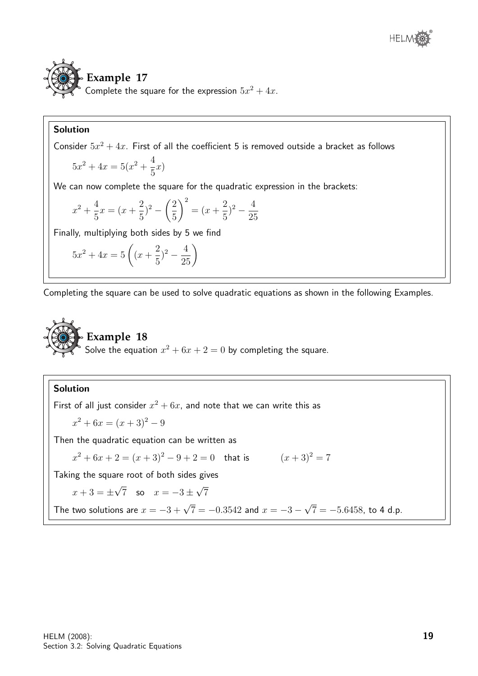

Consider  $5x^2 + 4x$ . First of all the coefficient 5 is removed outside a bracket as follows

$$
5x^2 + 4x = 5(x^2 + \frac{4}{5}x)
$$

We can now complete the square for the quadratic expression in the brackets:

$$
x^{2} + \frac{4}{5}x = (x + \frac{2}{5})^{2} - \left(\frac{2}{5}\right)^{2} = (x + \frac{2}{5})^{2} - \frac{4}{25}
$$

Finally, multiplying both sides by 5 we find

$$
5x^2 + 4x = 5\left((x + \frac{2}{5})^2 - \frac{4}{25}\right)
$$

Completing the square can be used to solve quadratic equations as shown in the following Examples.



#### Solution

First of all just consider  $x^2 + 6x$ , and note that we can write this as

$$
x^2 + 6x = (x+3)^2 - 9
$$

Then the quadratic equation can be written as

$$
x^{2} + 6x + 2 = (x + 3)^{2} - 9 + 2 = 0
$$
 that is  $(x + 3)^{2} = 7$ 

Taking the square root of both sides gives

$$
x + 3 = \pm \sqrt{7}
$$
 so  $x = -3 \pm \sqrt{7}$ 

The two solutions are 
$$
x = -3 + \sqrt{7} = -0.3542
$$
 and  $x = -3 - \sqrt{7} = -5.6458$ , to 4 d.p.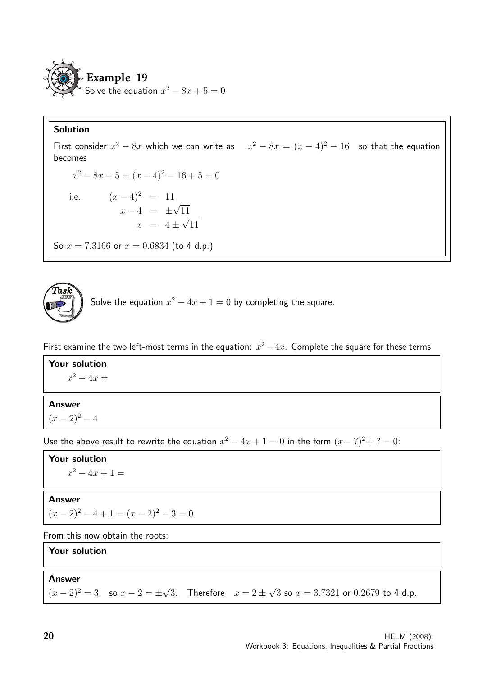

First consider  $x^2 - 8x$  which we can write as  $x^2 - 8x = (x - 4)^2 - 16$  so that the equation becomes  $x^2 - 8x + 5 = (x - 4)^2 - 16 + 5 = 0$ i.e.  $(x-4)^2 = 11$  $x - 4 = \pm$ √ 11  $x = 4 \pm$ √ 11 So  $x = 7.3166$  or  $x = 0.6834$  (to 4 d.p.)



Solve the equation  $x^2 - 4x + 1 = 0$  by completing the square.

First examine the two left-most terms in the equation:  $x^2 - 4x$ . Complete the square for these terms:

#### Your solution

 $x^2 - 4x =$ 

#### Answer

 $(x-2)^2-4$ 

Use the above result to rewrite the equation  $x^2 - 4x + 1 = 0$  in the form  $(x - ?)^2 + ? = 0$ :

Your solution  $x^2 - 4x + 1 =$ 

#### Answer

 $(x - 2)^2 - 4 + 1 = (x - 2)^2 - 3 = 0$ 

From this now obtain the roots:

#### Your solution

Answer

 $(x-2)^2 = 3$ , so  $x-2 = \pm$ √ 3. Therefore  $x = 2 \pm$ √  $3$  so  $x=3.7321$  or  $0.2679$  to 4 d.p.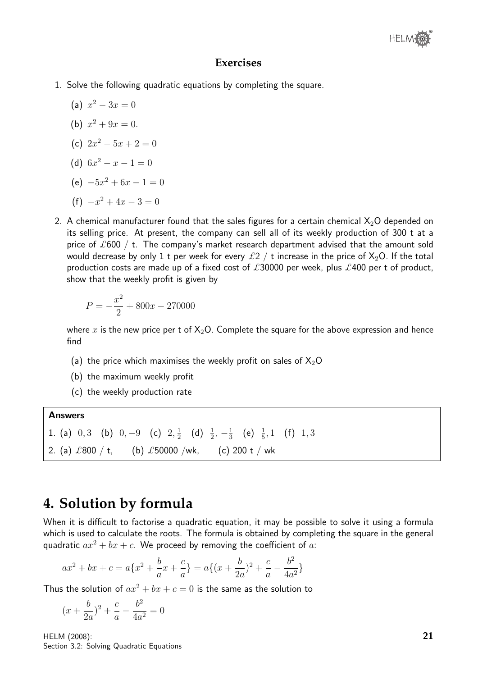- 1. Solve the following quadratic equations by completing the square.
	- (a)  $x^2 3x = 0$
	- (b)  $x^2 + 9x = 0$ .
	- (c)  $2x^2 5x + 2 = 0$
	- (d)  $6x^2 x 1 = 0$
	- (e)  $-5x^2 + 6x 1 = 0$
	- $(f)$   $x^2 + 4x 3 = 0$
- 2. A chemical manufacturer found that the sales figures for a certain chemical  $X_2O$  depended on its selling price. At present, the company can sell all of its weekly production of 300 t at a price of  $\pounds 600$  / t. The company's market research department advised that the amount sold would decrease by only 1 t per week for every  $\pounds 2 / t$  increase in the price of  $X_2O$ . If the total production costs are made up of a fixed cost of £30000 per week, plus £400 per t of product, show that the weekly profit is given by

$$
P = -\frac{x^2}{2} + 800x - 270000
$$

where x is the new price per t of  $X_2O$ . Complete the square for the above expression and hence find

- (a) the price which maximises the weekly profit on sales of  $X_2O$
- (b) the maximum weekly profit
- (c) the weekly production rate

Answers 1. (a)  $0,3$  (b)  $0,-9$  (c)  $2,\frac{1}{2}$  $\frac{1}{2}$  (d)  $\frac{1}{2}$ ,  $-\frac{1}{3}$  $\frac{1}{3}$  (e)  $\frac{1}{5}$ , 1 (f) 1, 3 2. (a)  $\pounds 800 / t$ , (b)  $\pounds 50000 / wk$ , (c) 200 t / wk

## **4. Solution by formula**

When it is difficult to factorise a quadratic equation, it may be possible to solve it using a formula which is used to calculate the roots. The formula is obtained by completing the square in the general quadratic  $ax^2 + bx + c$ . We proceed by removing the coefficient of a:

$$
ax^{2} + bx + c = a\{x^{2} + \frac{b}{a}x + \frac{c}{a}\} = a\{(x + \frac{b}{2a})^{2} + \frac{c}{a} - \frac{b^{2}}{4a^{2}}\}
$$

Thus the solution of  $ax^2 + bx + c = 0$  is the same as the solution to

$$
(x + \frac{b}{2a})^2 + \frac{c}{a} - \frac{b^2}{4a^2} = 0
$$

HELM (2008): Section 3.2: Solving Quadratic Equations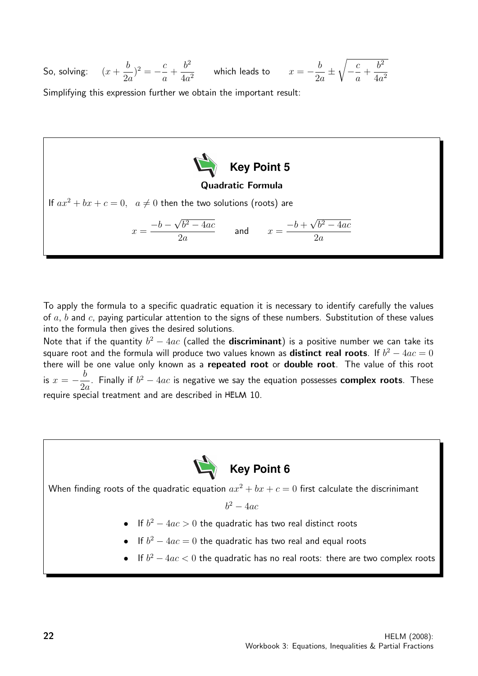So, solving:  $(x +$ b  $2a$  $)^{2}=-\frac{c}{2}$ a +  $b^2$  $rac{b^2}{4a^2}$  which leads to  $x = -\frac{b}{2a}$ 2a ± <sup>1</sup>  $-\frac{c}{c}$ a  $+$  $b^2$  $4a^2$ 

Simplifying this expression further we obtain the important result:



To apply the formula to a specific quadratic equation it is necessary to identify carefully the values of a, b and c, paying particular attention to the signs of these numbers. Substitution of these values into the formula then gives the desired solutions.

Note that if the quantity  $b^2 - 4ac$  (called the **discriminant**) is a positive number we can take its square root and the formula will produce two values known as  $\mathop{\mathrm{distinct}}$  real roots. If  $b^2-4ac=0$ there will be one value only known as a repeated root or double root. The value of this root is  $x = -\frac{b}{2}$  $2a$ . Finally if  $b^2 - 4ac$  is negative we say the equation possesses complex roots. These require special treatment and are described in HELM 10.



When finding roots of the quadratic equation  $ax^2 + bx + c = 0$  first calculate the discrinimant

 $b^2 - 4ac$ 

- If  $b^2 4ac > 0$  the quadratic has two real distinct roots
- If  $b^2 4ac = 0$  the quadratic has two real and equal roots
- If  $b^2 4ac < 0$  the quadratic has no real roots: there are two complex roots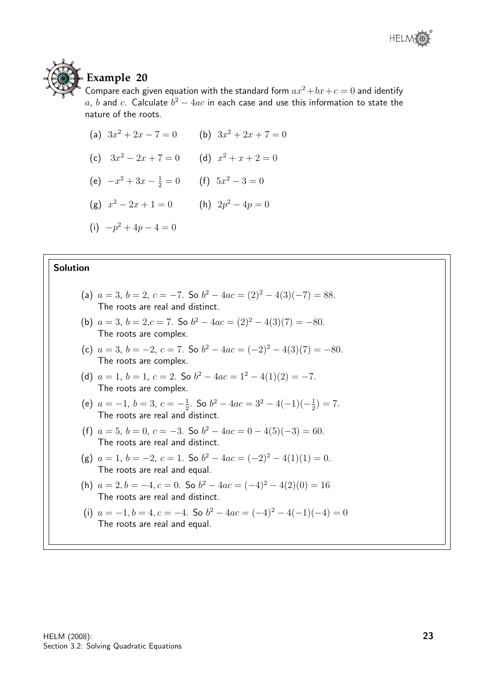



## **Example 20**

Compare each given equation with the standard form  $ax^2+bx+c=0$  and identify a, b and c. Calculate  $b^2 - 4ac$  in each case and use this information to state the nature of the roots.

- (a)  $3x^2 + 2x 7 = 0$  (b)  $3x^2 + 2x + 7 = 0$
- (c)  $3x^2 2x + 7 = 0$  (d)  $x^2 + x + 2 = 0$
- (e)  $-x^2 + 3x \frac{1}{2} = 0$  (f)  $5x^2 3 = 0$
- (g)  $x^2 2x + 1 = 0$  (h)  $2p^2 4p = 0$
- (i)  $-p^2 + 4p 4 = 0$

#### Solution

- (a)  $a = 3$ ,  $b = 2$ ,  $c = -7$ . So  $b^2 4ac = (2)^2 4(3)(-7) = 88$ . The roots are real and distinct.
- (b)  $a = 3$ ,  $b = 2$ ,  $c = 7$ . So  $b^2 4ac = (2)^2 4(3)(7) = -80$ . The roots are complex.
- (c)  $a = 3$ ,  $b = -2$ ,  $c = 7$ . So  $b^2 4ac = (-2)^2 4(3)(7) = -80$ . The roots are complex.
- (d)  $a = 1$ ,  $b = 1$ ,  $c = 2$ . So  $b^2 4ac = 1^2 4(1)(2) = -7$ . The roots are complex.
- (e)  $a = -1, b = 3, c = -\frac{1}{2}$  $\frac{1}{2}$ . So  $b^2 - 4ac = 3^2 - 4(-1)(-\frac{1}{2})$  $(\frac{1}{2}) = 7.$ The roots are real and distinct.
- (f)  $a = 5$ ,  $b = 0$ ,  $c = -3$ . So  $b^2 4ac = 0 4(5)(-3) = 60$ . The roots are real and distinct.
- (g)  $a = 1$ ,  $b = -2$ ,  $c = 1$ . So  $b^2 4ac = (-2)^2 4(1)(1) = 0$ . The roots are real and equal.
- (h)  $a = 2, b = -4, c = 0$ . So  $b^2 4ac = (-4)^2 4(2)(0) = 16$ The roots are real and distinct.
- (i)  $a = -1, b = 4, c = -4$ . So  $b^2 4ac = (-4)^2 4(-1)(-4) = 0$ The roots are real and equal.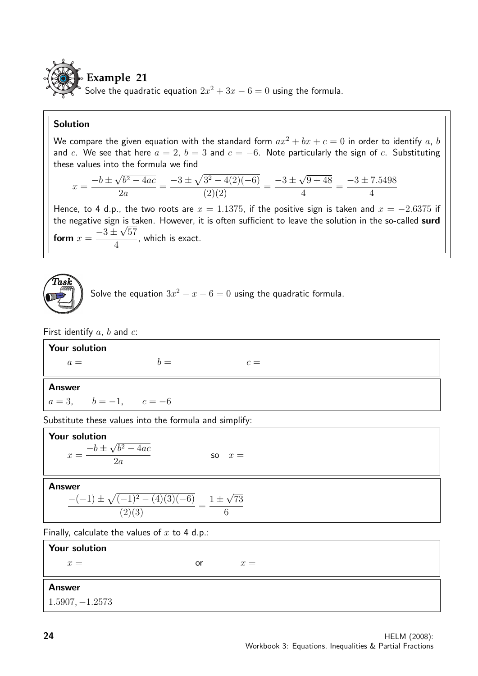

Solve the quadratic equation  $2x^2 + 3x - 6 = 0$  using the formula.

#### Solution

We compare the given equation with the standard form  $ax^2 + bx + c = 0$  in order to identify a, b and c. We see that here  $a = 2$ ,  $b = 3$  and  $c = -6$ . Note particularly the sign of c. Substituting these values into the formula we find

$$
x = \frac{-b \pm \sqrt{b^2 - 4ac}}{2a} = \frac{-3 \pm \sqrt{3^2 - 4(2)(-6)}}{(2)(2)} = \frac{-3 \pm \sqrt{9 + 48}}{4} = \frac{-3 \pm 7.5498}{4}
$$

Hence, to 4 d.p., the two roots are  $x = 1.1375$ , if the positive sign is taken and  $x = -2.6375$  if the negative sign is taken. However, it is often sufficient to leave the solution in the so-called surd form  $x =$  $-3 \pm$ √ 57 4 , which is exact.



Solve the equation  $3x^2 - x - 6 = 0$  using the quadratic formula.

First identify  $a, b$  and  $c$ :

| Your solution           |       |       |  |
|-------------------------|-------|-------|--|
| $a =$                   | $h =$ | $c =$ |  |
|                         |       |       |  |
| <b>Answer</b>           |       |       |  |
| $a = 3, b = -1, c = -6$ |       |       |  |

Substitute these values into the formula and simplify:

| Your solution<br>$-b \pm \sqrt{b^2 - 4ac}$<br>$x = -$<br>$\overline{\phantom{a}2a}$ | $\mathsf{so} \quad x =$ |
|-------------------------------------------------------------------------------------|-------------------------|
| <b>Answer</b><br>$-(-1) \pm \sqrt{(-1)^2 - (4)(3)(-6)}$ $1 \pm \sqrt{73}$           |                         |

Finally, calculate the values of  $x$  to 4 d.p.:

| <b>Your solution</b> |    |       |
|----------------------|----|-------|
| $x =$                | or | $x =$ |
| <b>Answer</b>        |    |       |
| $1.5907, -1.2573$    |    |       |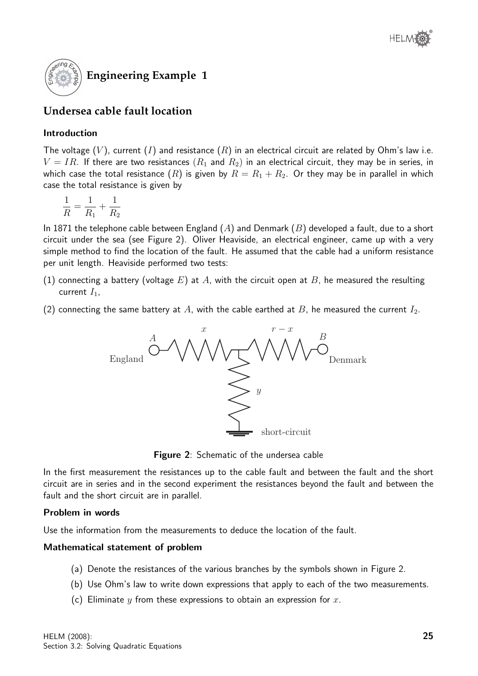

### **Undersea cable fault location**

#### Introduction

The voltage  $(V)$ , current  $(I)$  and resistance  $(R)$  in an electrical circuit are related by Ohm's law i.e.  $V = IR$ . If there are two resistances  $(R_1$  and  $R_2)$  in an electrical circuit, they may be in series, in which case the total resistance  $(R)$  is given by  $R = R_1 + R_2$ . Or they may be in parallel in which case the total resistance is given by

$$
\frac{1}{R} = \frac{1}{R_1} + \frac{1}{R_2}
$$

In 1871 the telephone cable between England  $(A)$  and Denmark  $(B)$  developed a fault, due to a short circuit under the sea (see Figure 2). Oliver Heaviside, an electrical engineer, came up with a very simple method to find the location of the fault. He assumed that the cable had a uniform resistance per unit length. Heaviside performed two tests:

- (1) connecting a battery (voltage  $E$ ) at  $A$ , with the circuit open at  $B$ , he measured the resulting current  $I_1$ ,
- (2) connecting the same battery at A, with the cable earthed at B, he measured the current  $I_2$ .



Figure 2: Schematic of the undersea cable

In the first measurement the resistances up to the cable fault and between the fault and the short circuit are in series and in the second experiment the resistances beyond the fault and between the fault and the short circuit are in parallel.

#### Problem in words

Use the information from the measurements to deduce the location of the fault.

#### Mathematical statement of problem

- (a) Denote the resistances of the various branches by the symbols shown in Figure 2.
- (b) Use Ohm's law to write down expressions that apply to each of the two measurements.
- (c) Eliminate y from these expressions to obtain an expression for x.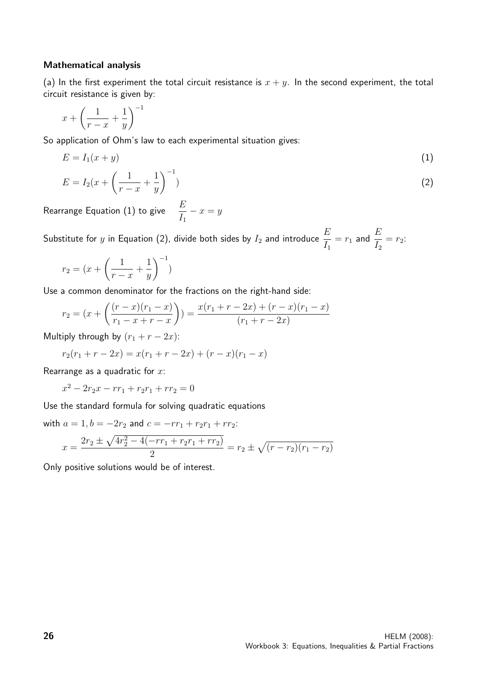#### Mathematical analysis

(a) In the first experiment the total circuit resistance is  $x + y$ . In the second experiment, the total circuit resistance is given by:

$$
x + \left(\frac{1}{r-x} + \frac{1}{y}\right)^{-1}
$$

So application of Ohm's law to each experimental situation gives:

$$
E = I_1(x + y)
$$
  
\n
$$
E = I_2(x + \left(\frac{1}{r - x} + \frac{1}{y}\right)^{-1})
$$
\n(1)

Rearrange Equation (1) to give  $\frac{E}{I}$  $I_1$  $-x = y$ 

Substitute for  $y$  in Equation (2), divide both sides by  $I_2$  and introduce  $\frac{E}{I}$  $I_1$  $=r_1$  and  $\frac{E}{I}$  $I<sub>2</sub>$  $= r_2$ :

$$
r_2 = (x + \left(\frac{1}{r-x} + \frac{1}{y}\right)^{-1})
$$

Use a common denominator for the fractions on the right-hand side:

$$
r_2 = (x + \left(\frac{(r-x)(r_1 - x)}{r_1 - x + r - x}\right)) = \frac{x(r_1 + r - 2x) + (r - x)(r_1 - x)}{(r_1 + r - 2x)}
$$

Multiply through by  $(r_1 + r - 2x)$ :

$$
r_2(r_1 + r - 2x) = x(r_1 + r - 2x) + (r - x)(r_1 - x)
$$

Rearrange as a quadratic for  $x$ :

 $x^2 - 2r_2x - rr_1 + r_2r_1 + rr_2 = 0$ 

Use the standard formula for solving quadratic equations

with  $a = 1$ ,  $b = -2r_2$  and  $c = -rr_1 + r_2r_1 + rr_2$ :  $x = \frac{2r_2 \pm \sqrt{4r_2^2 - 4(-rr_1 + r_2r_1 + rr_2)}}{2}$  $\frac{(-r_1+r_2r_1+r_2r_2)}{2} = r_2 \pm \sqrt{(r-r_2)(r_1-r_2)}$ 

Only positive solutions would be of interest.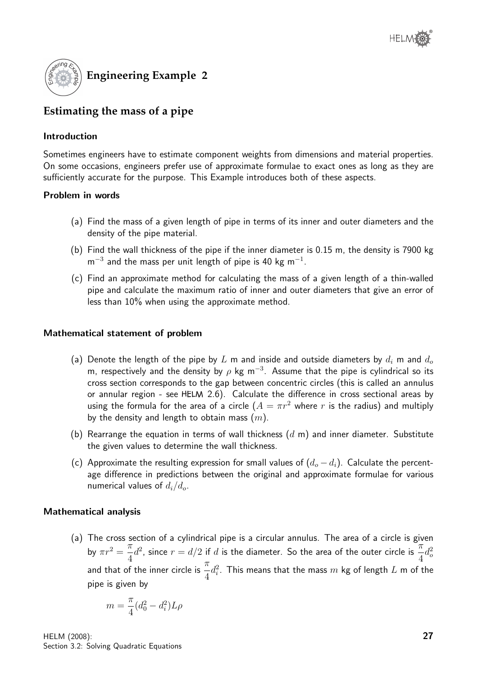

## **Estimating the mass of a pipe**

#### Introduction

Sometimes engineers have to estimate component weights from dimensions and material properties. On some occasions, engineers prefer use of approximate formulae to exact ones as long as they are sufficiently accurate for the purpose. This Example introduces both of these aspects.

#### Problem in words

- (a) Find the mass of a given length of pipe in terms of its inner and outer diameters and the density of the pipe material.
- (b) Find the wall thickness of the pipe if the inner diameter is 0.15 m, the density is 7900 kg  $\,$ m $^{-3}$  and the mass per unit length of pipe is 40 kg m $^{-1}.$
- (c) Find an approximate method for calculating the mass of a given length of a thin-walled pipe and calculate the maximum ratio of inner and outer diameters that give an error of less than 10% when using the approximate method.

#### Mathematical statement of problem

- (a) Denote the length of the pipe by L m and inside and outside diameters by  $d_i$  m and  $d_o$ m, respectively and the density by  $\rho$  kg m $^{-3}$ . Assume that the pipe is cylindrical so its cross section corresponds to the gap between concentric circles (this is called an annulus or annular region - see HELM 2.6). Calculate the difference in cross sectional areas by using the formula for the area of a circle  $(A = \pi r^2$  where r is the radius) and multiply by the density and length to obtain mass  $(m)$ .
- (b) Rearrange the equation in terms of wall thickness  $(d \, \text{m})$  and inner diameter. Substitute the given values to determine the wall thickness.
- (c) Approximate the resulting expression for small values of  $(d_o d_i)$ . Calculate the percentage difference in predictions between the original and approximate formulae for various numerical values of  $d_i/d_o$ .

#### Mathematical analysis

(a) The cross section of a cylindrical pipe is a circular annulus. The area of a circle is given by  $\pi r^2 = \frac{\pi}{4}$ 4  $d^2$ , since  $r = d/2$  if d is the diameter. So the area of the outer circle is  $\frac{\pi}{4}$ 4  $d_o^2$ and that of the inner circle is  $\frac{\pi}{4}$ 4  $d_i^2.$  This means that the mass  $m$  kg of length  $L$  m of the pipe is given by

$$
m=\frac{\pi}{4}(d_0^2-d_i^2)L\rho
$$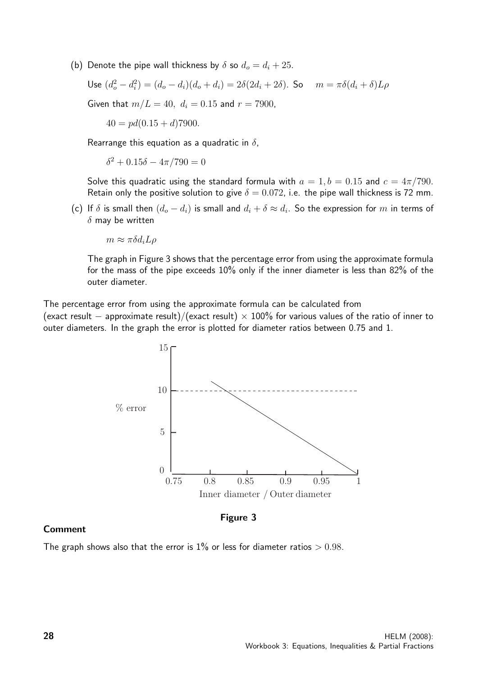(b) Denote the pipe wall thickness by  $\delta$  so  $d_o = d_i + 25$ .

Use 
$$
(d_o^2 - d_i^2) = (d_o - d_i)(d_o + d_i) = 2\delta(2d_i + 2\delta)
$$
. So  $m = \pi \delta(d_i + \delta)L\rho$ 

Given that  $m/L = 40$ ,  $d_i = 0.15$  and  $r = 7900$ ,

 $40 = pd(0.15 + d)7900.$ 

Rearrange this equation as a quadratic in  $\delta$ ,

 $\delta^2 + 0.15\delta - 4\pi/790 = 0$ 

Solve this quadratic using the standard formula with  $a = 1, b = 0.15$  and  $c = 4\pi/790$ . Retain only the positive solution to give  $\delta = 0.072$ , i.e. the pipe wall thickness is 72 mm.

(c) If  $\delta$  is small then  $(d_o - d_i)$  is small and  $d_i + \delta \approx d_i.$  So the expression for  $m$  in terms of  $\delta$  may be written

 $m \approx \pi \delta d_i L \rho$ 

The graph in Figure 3 shows that the percentage error from using the approximate formula for the mass of the pipe exceeds 10% only if the inner diameter is less than 82% of the outer diameter.

The percentage error from using the approximate formula can be calculated from

(exact result – approximate result)/(exact result) × 100% for various values of the ratio of inner to outer diameters. In the graph the error is plotted for diameter ratios between 0.75 and 1.



#### Comment

Figure 3

The graph shows also that the error is  $1\%$  or less for diameter ratios  $> 0.98$ .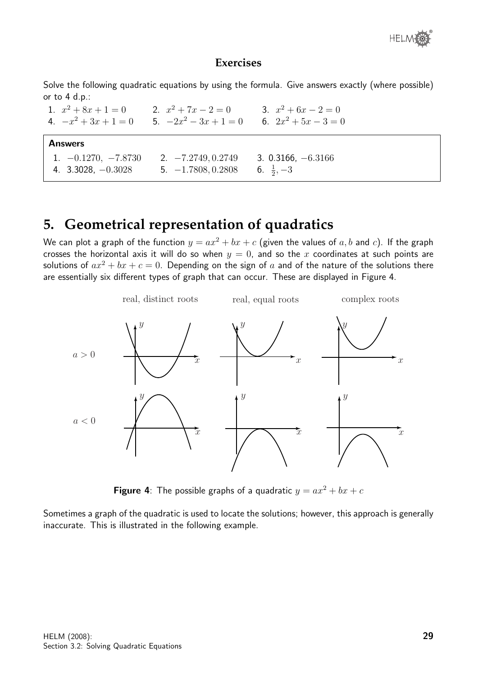

Solve the following quadratic equations by using the formula. Give answers exactly (where possible) or to 4 d.p.:

1.  $x^2 + 8x + 1 = 0$  2. x 2.  $x^2 + 7x - 2 = 0$ 3.  $x^2 + 6x - 2 = 0$ 4.  $-x^2 + 3x + 1 = 0$  5.  $-2x$  $2x^2 - 3x + 1 = 0$ 6.  $2x^2 + 5x - 3 = 0$ Answers 1. −0.1270, −7.8730 2. −7.2749, 0.2749 3. 0.3166, −6.3166 4. 3.3028, −0.3028 5. −1.7808, 0.2808 6. <sup>1</sup>  $\frac{1}{2}, -3$ 

## **5. Geometrical representation of quadratics**

We can plot a graph of the function  $y = ax^2 + bx + c$  (given the values of a, b and c). If the graph crosses the horizontal axis it will do so when  $y = 0$ , and so the x coordinates at such points are solutions of  $ax^2 + bx + c = 0$ . Depending on the sign of a and of the nature of the solutions there are essentially six different types of graph that can occur. These are displayed in Figure 4.



**Figure 4:** The possible graphs of a quadratic  $y = ax^2 + bx + c$ 

Sometimes a graph of the quadratic is used to locate the solutions; however, this approach is generally inaccurate. This is illustrated in the following example.